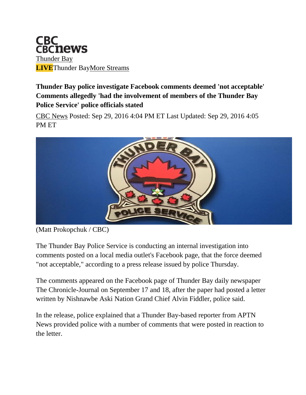

**Thunder Bay police investigate Facebook comments deemed 'not acceptable' Comments allegedly 'had the involvement of members of the Thunder Bay Police Service' police officials stated**

[CBC News](http://www.cbc.ca/news/cbc-news-online-news-staff-list-1.1294364) Posted: Sep 29, 2016 4:04 PM ET Last Updated: Sep 29, 2016 4:05 PM ET



(Matt Prokopchuk / CBC)

The Thunder Bay Police Service is conducting an internal investigation into comments posted on a local media outlet's Facebook page, that the force deemed "not acceptable," according to a press release issued by police Thursday.

The comments appeared on the Facebook page of Thunder Bay daily newspaper The Chronicle-Journal on September 17 and 18, after the paper had posted a letter written by Nishnawbe Aski Nation Grand Chief Alvin Fiddler, police said.

In the release, police explained that a Thunder Bay-based reporter from APTN News provided police with a number of comments that were posted in reaction to the letter.